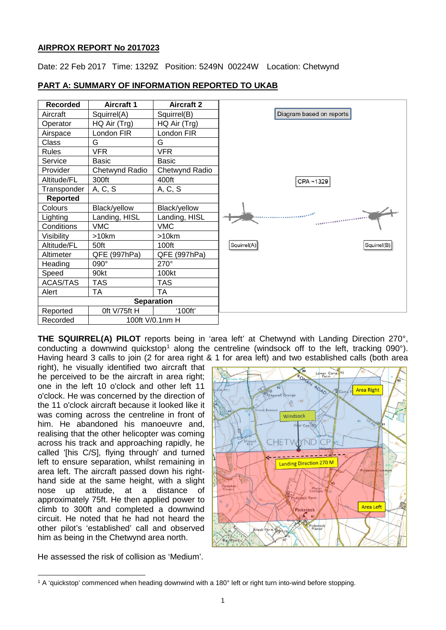# **AIRPROX REPORT No 2017023**

Date: 22 Feb 2017 Time: 1329Z Position: 5249N 00224W Location: Chetwynd



**PART A: SUMMARY OF INFORMATION REPORTED TO UKAB**

**THE SQUIRREL(A) PILOT** reports being in 'area left' at Chetwynd with Landing Direction 270°, conducting a downwind quickstop<sup>[1](#page-0-0)</sup> along the centreline (windsock off to the left, tracking 090 $^{\circ}$ ). Having heard 3 calls to join (2 for area right & 1 for area left) and two established calls (both area

right), he visually identified two aircraft that he perceived to be the aircraft in area right; one in the left 10 o'clock and other left 11 o'clock. He was concerned by the direction of the 11 o'clock aircraft because it looked like it was coming across the centreline in front of him. He abandoned his manoeuvre and, realising that the other helicopter was coming across his track and approaching rapidly, he called '[his C/S], flying through' and turned left to ensure separation, whilst remaining in area left. The aircraft passed down his righthand side at the same height, with a slight nose up attitude, at a distance of approximately 75ft. He then applied power to climb to 300ft and completed a downwind circuit. He noted that he had not heard the other pilot's 'established' call and observed him as being in the Chetwynd area north.



He assessed the risk of collision as 'Medium'.

<span id="page-0-0"></span> $\overline{\phantom{a}}$ <sup>1</sup> A 'quickstop' commenced when heading downwind with a 180° left or right turn into-wind before stopping.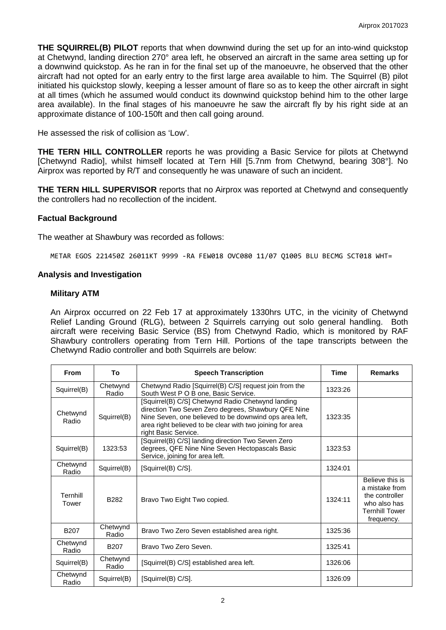**THE SQUIRREL(B) PILOT** reports that when downwind during the set up for an into-wind quickstop at Chetwynd, landing direction 270° area left, he observed an aircraft in the same area setting up for a downwind quickstop. As he ran in for the final set up of the manoeuvre, he observed that the other aircraft had not opted for an early entry to the first large area available to him. The Squirrel (B) pilot initiated his quickstop slowly, keeping a lesser amount of flare so as to keep the other aircraft in sight at all times (which he assumed would conduct its downwind quickstop behind him to the other large area available). In the final stages of his manoeuvre he saw the aircraft fly by his right side at an approximate distance of 100-150ft and then call going around.

He assessed the risk of collision as 'Low'.

**THE TERN HILL CONTROLLER** reports he was providing a Basic Service for pilots at Chetwynd [Chetwynd Radio], whilst himself located at Tern Hill [5.7nm from Chetwynd, bearing 308°]. No Airprox was reported by R/T and consequently he was unaware of such an incident.

**THE TERN HILL SUPERVISOR** reports that no Airprox was reported at Chetwynd and consequently the controllers had no recollection of the incident.

### **Factual Background**

The weather at Shawbury was recorded as follows:

METAR EGOS 221450Z 26011KT 9999 -RA FEW018 OVC080 11/07 Q1005 BLU BECMG SCT018 WHT=

#### **Analysis and Investigation**

#### **Military ATM**

An Airprox occurred on 22 Feb 17 at approximately 1330hrs UTC, in the vicinity of Chetwynd Relief Landing Ground (RLG), between 2 Squirrels carrying out solo general handling. Both aircraft were receiving Basic Service (BS) from Chetwynd Radio, which is monitored by RAF Shawbury controllers operating from Tern Hill. Portions of the tape transcripts between the Chetwynd Radio controller and both Squirrels are below:

| From              | То                | <b>Speech Transcription</b>                                                                                                                                                                                                                             | <b>Time</b> | <b>Remarks</b>                                                                                             |
|-------------------|-------------------|---------------------------------------------------------------------------------------------------------------------------------------------------------------------------------------------------------------------------------------------------------|-------------|------------------------------------------------------------------------------------------------------------|
| Squirrel(B)       | Chetwynd<br>Radio | Chetwynd Radio [Squirrel(B) C/S] request join from the<br>South West P O B one, Basic Service.                                                                                                                                                          | 1323:26     |                                                                                                            |
| Chetwynd<br>Radio | Squirrel(B)       | [Squirrel(B) C/S] Chetwynd Radio Chetwynd landing<br>direction Two Seven Zero degrees, Shawbury QFE Nine<br>Nine Seven, one believed to be downwind ops area left,<br>area right believed to be clear with two joining for area<br>right Basic Service. | 1323:35     |                                                                                                            |
| Squirrel(B)       | 1323:53           | [Squirrel(B) C/S] landing direction Two Seven Zero<br>degrees, QFE Nine Nine Seven Hectopascals Basic<br>Service, joining for area left.                                                                                                                | 1323:53     |                                                                                                            |
| Chetwynd<br>Radio | Squirrel(B)       | [Squirrel(B) C/S].                                                                                                                                                                                                                                      | 1324:01     |                                                                                                            |
| Ternhill<br>Tower | B <sub>282</sub>  | Bravo Two Eight Two copied.                                                                                                                                                                                                                             | 1324:11     | Believe this is<br>a mistake from<br>the controller<br>who also has<br><b>Ternhill Tower</b><br>frequency. |
| <b>B207</b>       | Chetwynd<br>Radio | Bravo Two Zero Seven established area right.                                                                                                                                                                                                            | 1325:36     |                                                                                                            |
| Chetwynd<br>Radio | B <sub>20</sub> 7 | Bravo Two Zero Seven.                                                                                                                                                                                                                                   | 1325:41     |                                                                                                            |
| Squirrel(B)       | Chetwynd<br>Radio | [Squirrel(B) C/S] established area left.                                                                                                                                                                                                                | 1326:06     |                                                                                                            |
| Chetwynd<br>Radio | Squirrel(B)       | [Squirrel(B) C/S].                                                                                                                                                                                                                                      | 1326:09     |                                                                                                            |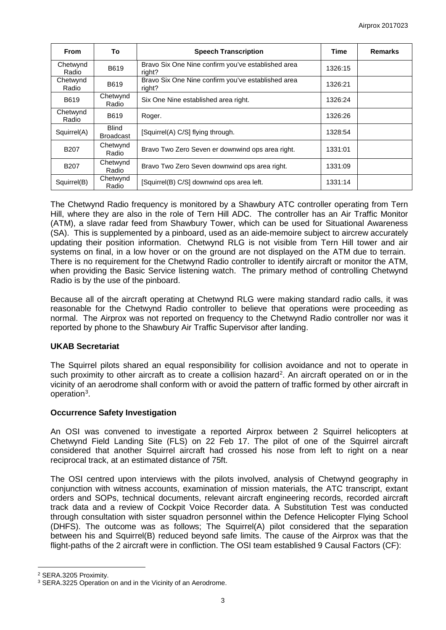| <b>From</b>       | To                               | <b>Speech Transcription</b>                                  | Time    | <b>Remarks</b> |
|-------------------|----------------------------------|--------------------------------------------------------------|---------|----------------|
| Chetwynd<br>Radio | B619                             | Bravo Six One Nine confirm you've established area<br>right? | 1326:15 |                |
| Chetwynd<br>Radio | B619                             | Bravo Six One Nine confirm you've established area<br>right? | 1326:21 |                |
| B619              | Chetwynd<br>Radio                | Six One Nine established area right.                         | 1326:24 |                |
| Chetwynd<br>Radio | B619                             | Roger.                                                       | 1326:26 |                |
| Squirrel(A)       | <b>Blind</b><br><b>Broadcast</b> | [Squirrel(A) C/S] flying through.                            | 1328:54 |                |
| <b>B207</b>       | Chetwynd<br>Radio                | Bravo Two Zero Seven er downwind ops area right.             | 1331:01 |                |
| B <sub>20</sub> 7 | Chetwynd<br>Radio                | Bravo Two Zero Seven downwind ops area right.                | 1331:09 |                |
| Squirrel(B)       | Chetwynd<br>Radio                | [Squirrel(B) C/S] downwind ops area left.                    | 1331:14 |                |

The Chetwynd Radio frequency is monitored by a Shawbury ATC controller operating from Tern Hill, where they are also in the role of Tern Hill ADC. The controller has an Air Traffic Monitor (ATM), a slave radar feed from Shawbury Tower, which can be used for Situational Awareness (SA). This is supplemented by a pinboard, used as an aide-memoire subject to aircrew accurately updating their position information. Chetwynd RLG is not visible from Tern Hill tower and air systems on final, in a low hover or on the ground are not displayed on the ATM due to terrain. There is no requirement for the Chetwynd Radio controller to identify aircraft or monitor the ATM, when providing the Basic Service listening watch. The primary method of controlling Chetwynd Radio is by the use of the pinboard.

Because all of the aircraft operating at Chetwynd RLG were making standard radio calls, it was reasonable for the Chetwynd Radio controller to believe that operations were proceeding as normal. The Airprox was not reported on frequency to the Chetwynd Radio controller nor was it reported by phone to the Shawbury Air Traffic Supervisor after landing.

## **UKAB Secretariat**

The Squirrel pilots shared an equal responsibility for collision avoidance and not to operate in such proximity to other aircraft as to create a collision hazard<sup>[2](#page-2-0)</sup>. An aircraft operated on or in the vicinity of an aerodrome shall conform with or avoid the pattern of traffic formed by other aircraft in operation<sup>[3](#page-2-1)</sup>.

## **Occurrence Safety Investigation**

An OSI was convened to investigate a reported Airprox between 2 Squirrel helicopters at Chetwynd Field Landing Site (FLS) on 22 Feb 17. The pilot of one of the Squirrel aircraft considered that another Squirrel aircraft had crossed his nose from left to right on a near reciprocal track, at an estimated distance of 75ft.

The OSI centred upon interviews with the pilots involved, analysis of Chetwynd geography in conjunction with witness accounts, examination of mission materials, the ATC transcript, extant orders and SOPs, technical documents, relevant aircraft engineering records, recorded aircraft track data and a review of Cockpit Voice Recorder data. A Substitution Test was conducted through consultation with sister squadron personnel within the Defence Helicopter Flying School (DHFS). The outcome was as follows; The Squirrel(A) pilot considered that the separation between his and Squirrel(B) reduced beyond safe limits. The cause of the Airprox was that the flight-paths of the 2 aircraft were in confliction. The OSI team established 9 Causal Factors (CF):

l

<span id="page-2-0"></span><sup>2</sup> SERA.3205 Proximity.

<span id="page-2-1"></span><sup>&</sup>lt;sup>3</sup> SERA.3225 Operation on and in the Vicinity of an Aerodrome.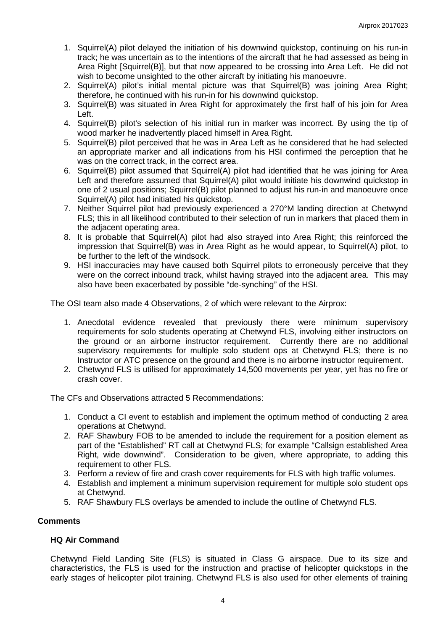- 1. Squirrel(A) pilot delayed the initiation of his downwind quickstop, continuing on his run-in track; he was uncertain as to the intentions of the aircraft that he had assessed as being in Area Right [Squirrel(B)], but that now appeared to be crossing into Area Left. He did not wish to become unsighted to the other aircraft by initiating his manoeuvre.
- 2. Squirrel(A) pilot's initial mental picture was that Squirrel(B) was joining Area Right; therefore, he continued with his run-in for his downwind quickstop.
- 3. Squirrel(B) was situated in Area Right for approximately the first half of his join for Area Left.
- 4. Squirrel(B) pilot's selection of his initial run in marker was incorrect. By using the tip of wood marker he inadvertently placed himself in Area Right.
- 5. Squirrel(B) pilot perceived that he was in Area Left as he considered that he had selected an appropriate marker and all indications from his HSI confirmed the perception that he was on the correct track, in the correct area.
- 6. Squirrel(B) pilot assumed that Squirrel(A) pilot had identified that he was joining for Area Left and therefore assumed that Squirrel(A) pilot would initiate his downwind quickstop in one of 2 usual positions; Squirrel(B) pilot planned to adjust his run-in and manoeuvre once Squirrel(A) pilot had initiated his quickstop.
- 7. Neither Squirrel pilot had previously experienced a 270°M landing direction at Chetwynd FLS; this in all likelihood contributed to their selection of run in markers that placed them in the adjacent operating area.
- 8. It is probable that Squirrel(A) pilot had also strayed into Area Right; this reinforced the impression that Squirrel(B) was in Area Right as he would appear, to Squirrel(A) pilot, to be further to the left of the windsock.
- 9. HSI inaccuracies may have caused both Squirrel pilots to erroneously perceive that they were on the correct inbound track, whilst having strayed into the adjacent area. This may also have been exacerbated by possible "de-synching" of the HSI.

The OSI team also made 4 Observations, 2 of which were relevant to the Airprox:

- 1. Anecdotal evidence revealed that previously there were minimum supervisory requirements for solo students operating at Chetwynd FLS, involving either instructors on the ground or an airborne instructor requirement. Currently there are no additional supervisory requirements for multiple solo student ops at Chetwynd FLS; there is no Instructor or ATC presence on the ground and there is no airborne instructor requirement.
- 2. Chetwynd FLS is utilised for approximately 14,500 movements per year, yet has no fire or crash cover.

The CFs and Observations attracted 5 Recommendations:

- 1. Conduct a CI event to establish and implement the optimum method of conducting 2 area operations at Chetwynd.
- 2. RAF Shawbury FOB to be amended to include the requirement for a position element as part of the "Established" RT call at Chetwynd FLS; for example "Callsign established Area Right, wide downwind". Consideration to be given, where appropriate, to adding this requirement to other FLS.
- 3. Perform a review of fire and crash cover requirements for FLS with high traffic volumes.
- 4. Establish and implement a minimum supervision requirement for multiple solo student ops at Chetwynd.
- 5. RAF Shawbury FLS overlays be amended to include the outline of Chetwynd FLS.

## **Comments**

### **HQ Air Command**

Chetwynd Field Landing Site (FLS) is situated in Class G airspace. Due to its size and characteristics, the FLS is used for the instruction and practise of helicopter quickstops in the early stages of helicopter pilot training. Chetwynd FLS is also used for other elements of training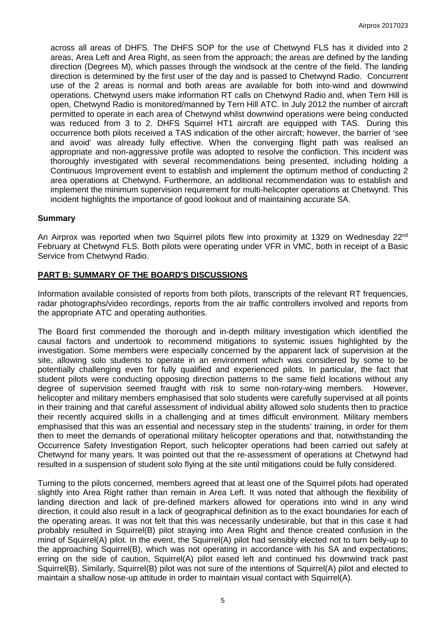across all areas of DHFS. The DHFS SOP for the use of Chetwynd FLS has it divided into 2 areas, Area Left and Area Right, as seen from the approach; the areas are defined by the landing direction (Degrees M), which passes through the windsock at the centre of the field. The landing direction is determined by the first user of the day and is passed to Chetwynd Radio. Concurrent use of the 2 areas is normal and both areas are available for both into-wind and downwind operations. Chetwynd users make information RT calls on Chetwynd Radio and, when Tern Hill is open, Chetwynd Radio is monitored/manned by Tern Hill ATC. In July 2012 the number of aircraft permitted to operate in each area of Chetwynd whilst downwind operations were being conducted was reduced from 3 to 2. DHFS Squirrel HT1 aircraft are equipped with TAS. During this occurrence both pilots received a TAS indication of the other aircraft; however, the barrier of 'see and avoid' was already fully effective. When the converging flight path was realised an appropriate and non-aggressive profile was adopted to resolve the confliction. This incident was thoroughly investigated with several recommendations being presented, including holding a Continuous Improvement event to establish and implement the optimum method of conducting 2 area operations at Chetwynd. Furthermore, an additional recommendation was to establish and implement the minimum supervision requirement for multi-helicopter operations at Chetwynd. This incident highlights the importance of good lookout and of maintaining accurate SA.

### **Summary**

An Airprox was reported when two Squirrel pilots flew into proximity at 1329 on Wednesday 22<sup>nd</sup> February at Chetwynd FLS. Both pilots were operating under VFR in VMC, both in receipt of a Basic Service from Chetwynd Radio.

### **PART B: SUMMARY OF THE BOARD'S DISCUSSIONS**

Information available consisted of reports from both pilots, transcripts of the relevant RT frequencies, radar photographs/video recordings, reports from the air traffic controllers involved and reports from the appropriate ATC and operating authorities.

The Board first commended the thorough and in-depth military investigation which identified the causal factors and undertook to recommend mitigations to systemic issues highlighted by the investigation. Some members were especially concerned by the apparent lack of supervision at the site, allowing solo students to operate in an environment which was considered by some to be potentially challenging even for fully qualified and experienced pilots. In particular, the fact that student pilots were conducting opposing direction patterns to the same field locations without any degree of supervision seemed fraught with risk to some non-rotary-wing members. However, helicopter and military members emphasised that solo students were carefully supervised at all points in their training and that careful assessment of individual ability allowed solo students then to practice their recently acquired skills in a challenging and at times difficult environment. Military members emphasised that this was an essential and necessary step in the students' training, in order for them then to meet the demands of operational military helicopter operations and that, notwithstanding the Occurrence Safety Investigation Report, such helicopter operations had been carried out safely at Chetwynd for many years. It was pointed out that the re-assessment of operations at Chetwynd had resulted in a suspension of student solo flying at the site until mitigations could be fully considered.

Turning to the pilots concerned, members agreed that at least one of the Squirrel pilots had operated slightly into Area Right rather than remain in Area Left. It was noted that although the flexibility of landing direction and lack of pre-defined markers allowed for operations into wind in any wind direction, it could also result in a lack of geographical definition as to the exact boundaries for each of the operating areas. It was not felt that this was necessarily undesirable, but that in this case it had probably resulted in Squirrel(B) pilot straying into Area Right and thence created confusion in the mind of Squirrel(A) pilot. In the event, the Squirrel(A) pilot had sensibly elected not to turn belly-up to the approaching Squirrel(B), which was not operating in accordance with his SA and expectations; erring on the side of caution, Squirrel(A) pilot eased left and continued his downwind track past Squirrel(B). Similarly, Squirrel(B) pilot was not sure of the intentions of Squirrel(A) pilot and elected to maintain a shallow nose-up attitude in order to maintain visual contact with Squirrel(A).